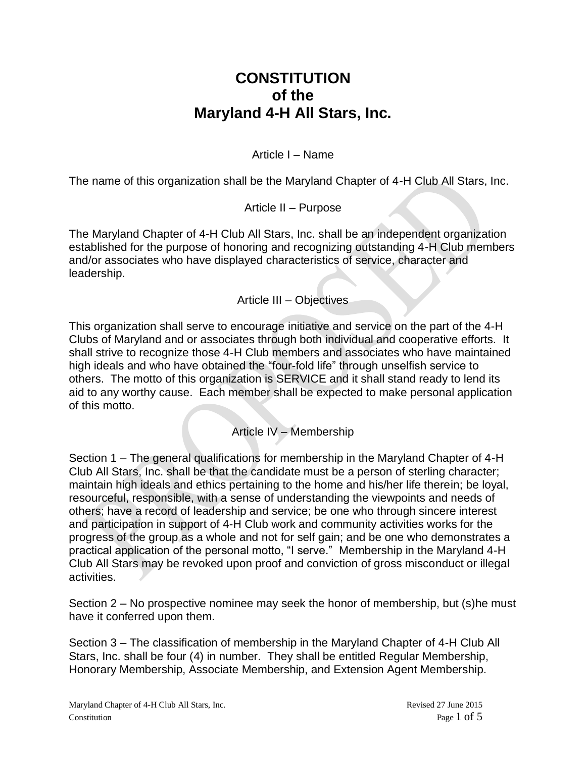# **CONSTITUTION of the Maryland 4-H All Stars, Inc.**

Article I – Name

The name of this organization shall be the Maryland Chapter of 4-H Club All Stars, Inc.

Article II – Purpose

The Maryland Chapter of 4-H Club All Stars, Inc. shall be an independent organization established for the purpose of honoring and recognizing outstanding 4-H Club members and/or associates who have displayed characteristics of service, character and leadership.

Article III – Objectives

This organization shall serve to encourage initiative and service on the part of the 4-H Clubs of Maryland and or associates through both individual and cooperative efforts. It shall strive to recognize those 4-H Club members and associates who have maintained high ideals and who have obtained the "four-fold life" through unselfish service to others. The motto of this organization is SERVICE and it shall stand ready to lend its aid to any worthy cause. Each member shall be expected to make personal application of this motto.

Article IV – Membership

Section 1 – The general qualifications for membership in the Maryland Chapter of 4-H Club All Stars, Inc. shall be that the candidate must be a person of sterling character; maintain high ideals and ethics pertaining to the home and his/her life therein; be loyal, resourceful, responsible, with a sense of understanding the viewpoints and needs of others; have a record of leadership and service; be one who through sincere interest and participation in support of 4-H Club work and community activities works for the progress of the group as a whole and not for self gain; and be one who demonstrates a practical application of the personal motto, "I serve." Membership in the Maryland 4-H Club All Stars may be revoked upon proof and conviction of gross misconduct or illegal activities.

Section 2 – No prospective nominee may seek the honor of membership, but (s)he must have it conferred upon them.

Section 3 – The classification of membership in the Maryland Chapter of 4-H Club All Stars, Inc. shall be four (4) in number. They shall be entitled Regular Membership, Honorary Membership, Associate Membership, and Extension Agent Membership.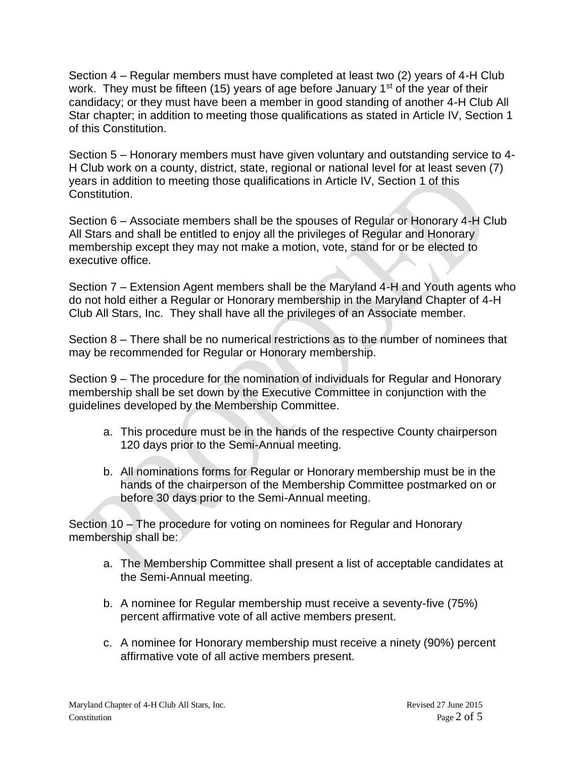Section 4 – Regular members must have completed at least two (2) years of 4-H Club work. They must be fifteen (15) years of age before January  $1<sup>st</sup>$  of the year of their candidacy; or they must have been a member in good standing of another 4-H Club All Star chapter; in addition to meeting those qualifications as stated in Article IV, Section 1 of this Constitution.

Section 5 – Honorary members must have given voluntary and outstanding service to 4- H Club work on a county, district, state, regional or national level for at least seven (7) years in addition to meeting those qualifications in Article IV, Section 1 of this Constitution.

Section 6 – Associate members shall be the spouses of Regular or Honorary 4-H Club All Stars and shall be entitled to enjoy all the privileges of Regular and Honorary membership except they may not make a motion, vote, stand for or be elected to executive office.

Section 7 – Extension Agent members shall be the Maryland 4-H and Youth agents who do not hold either a Regular or Honorary membership in the Maryland Chapter of 4-H Club All Stars, Inc. They shall have all the privileges of an Associate member.

Section 8 – There shall be no numerical restrictions as to the number of nominees that may be recommended for Regular or Honorary membership.

Section 9 – The procedure for the nomination of individuals for Regular and Honorary membership shall be set down by the Executive Committee in conjunction with the guidelines developed by the Membership Committee.

- a. This procedure must be in the hands of the respective County chairperson 120 days prior to the Semi-Annual meeting.
- b. All nominations forms for Regular or Honorary membership must be in the hands of the chairperson of the Membership Committee postmarked on or before 30 days prior to the Semi-Annual meeting.

Section 10 – The procedure for voting on nominees for Regular and Honorary membership shall be:

- a. The Membership Committee shall present a list of acceptable candidates at the Semi-Annual meeting.
- b. A nominee for Regular membership must receive a seventy-five (75%) percent affirmative vote of all active members present.
- c. A nominee for Honorary membership must receive a ninety (90%) percent affirmative vote of all active members present.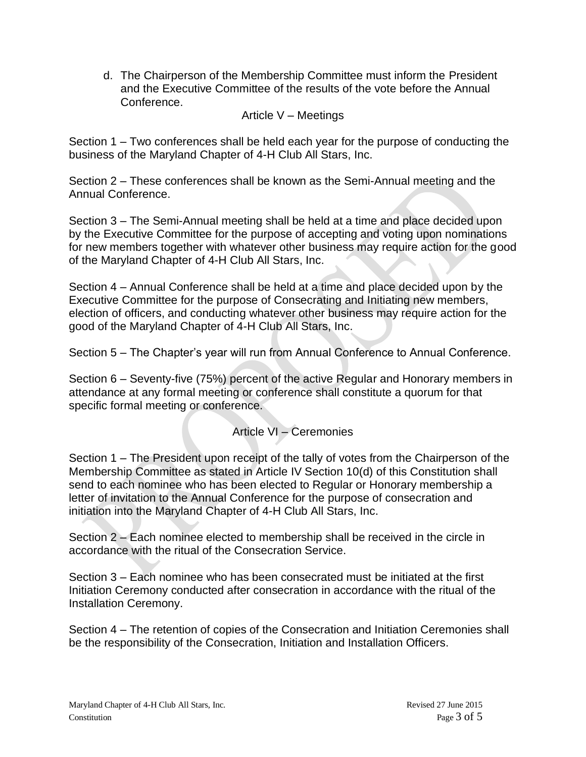d. The Chairperson of the Membership Committee must inform the President and the Executive Committee of the results of the vote before the Annual Conference.

#### Article V – Meetings

Section 1 – Two conferences shall be held each year for the purpose of conducting the business of the Maryland Chapter of 4-H Club All Stars, Inc.

Section 2 – These conferences shall be known as the Semi-Annual meeting and the Annual Conference.

Section 3 – The Semi-Annual meeting shall be held at a time and place decided upon by the Executive Committee for the purpose of accepting and voting upon nominations for new members together with whatever other business may require action for the good of the Maryland Chapter of 4-H Club All Stars, Inc.

Section 4 – Annual Conference shall be held at a time and place decided upon by the Executive Committee for the purpose of Consecrating and Initiating new members, election of officers, and conducting whatever other business may require action for the good of the Maryland Chapter of 4-H Club All Stars, Inc.

Section 5 – The Chapter's year will run from Annual Conference to Annual Conference.

Section 6 – Seventy-five (75%) percent of the active Regular and Honorary members in attendance at any formal meeting or conference shall constitute a quorum for that specific formal meeting or conference.

# Article VI – Ceremonies

Section 1 – The President upon receipt of the tally of votes from the Chairperson of the Membership Committee as stated in Article IV Section 10(d) of this Constitution shall send to each nominee who has been elected to Regular or Honorary membership a letter of invitation to the Annual Conference for the purpose of consecration and initiation into the Maryland Chapter of 4-H Club All Stars, Inc.

Section 2 – Each nominee elected to membership shall be received in the circle in accordance with the ritual of the Consecration Service.

Section 3 – Each nominee who has been consecrated must be initiated at the first Initiation Ceremony conducted after consecration in accordance with the ritual of the Installation Ceremony.

Section 4 – The retention of copies of the Consecration and Initiation Ceremonies shall be the responsibility of the Consecration, Initiation and Installation Officers.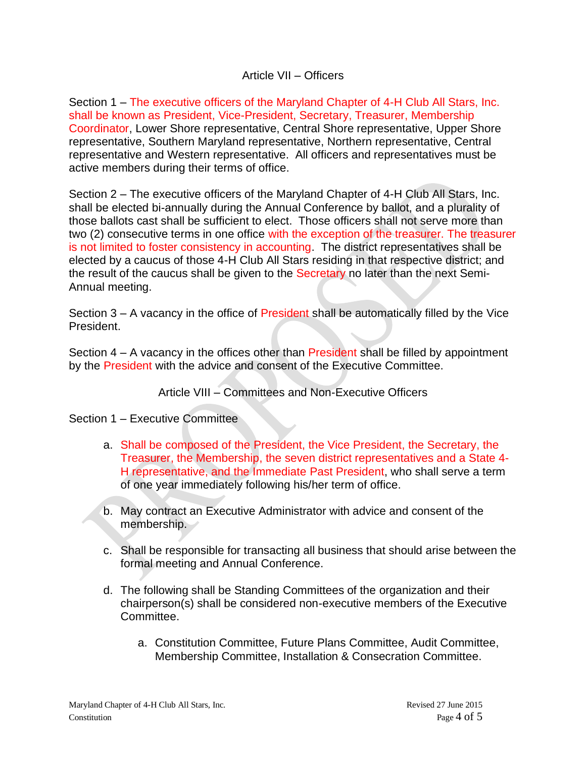#### Article VII – Officers

Section 1 – The executive officers of the Maryland Chapter of 4-H Club All Stars, Inc. shall be known as President, Vice-President, Secretary, Treasurer, Membership Coordinator, Lower Shore representative, Central Shore representative, Upper Shore representative, Southern Maryland representative, Northern representative, Central representative and Western representative. All officers and representatives must be active members during their terms of office.

Section 2 – The executive officers of the Maryland Chapter of 4-H Club All Stars, Inc. shall be elected bi-annually during the Annual Conference by ballot, and a plurality of those ballots cast shall be sufficient to elect. Those officers shall not serve more than two (2) consecutive terms in one office with the exception of the treasurer. The treasurer is not limited to foster consistency in accounting. The district representatives shall be elected by a caucus of those 4-H Club All Stars residing in that respective district; and the result of the caucus shall be given to the Secretary no later than the next Semi-Annual meeting.

Section 3 – A vacancy in the office of President shall be automatically filled by the Vice President.

Section 4 – A vacancy in the offices other than President shall be filled by appointment by the President with the advice and consent of the Executive Committee.

### Article VIII – Committees and Non-Executive Officers

Section 1 – Executive Committee

- a. Shall be composed of the President, the Vice President, the Secretary, the Treasurer, the Membership, the seven district representatives and a State 4- H representative, and the Immediate Past President, who shall serve a term of one year immediately following his/her term of office.
- b. May contract an Executive Administrator with advice and consent of the membership.
- c. Shall be responsible for transacting all business that should arise between the formal meeting and Annual Conference.
- d. The following shall be Standing Committees of the organization and their chairperson(s) shall be considered non-executive members of the Executive Committee.
	- a. Constitution Committee, Future Plans Committee, Audit Committee, Membership Committee, Installation & Consecration Committee.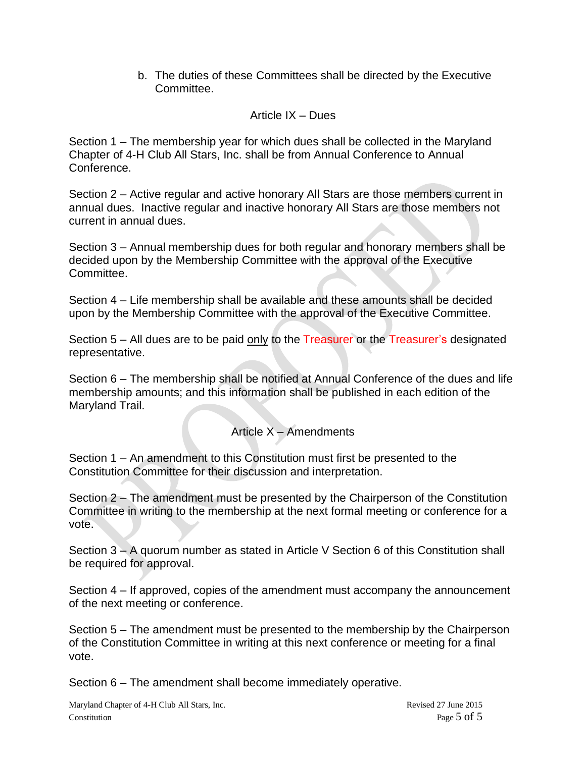b. The duties of these Committees shall be directed by the Executive Committee.

## Article IX – Dues

Section 1 – The membership year for which dues shall be collected in the Maryland Chapter of 4-H Club All Stars, Inc. shall be from Annual Conference to Annual Conference.

Section 2 – Active regular and active honorary All Stars are those members current in annual dues. Inactive regular and inactive honorary All Stars are those members not current in annual dues.

Section 3 – Annual membership dues for both regular and honorary members shall be decided upon by the Membership Committee with the approval of the Executive Committee.

Section 4 – Life membership shall be available and these amounts shall be decided upon by the Membership Committee with the approval of the Executive Committee.

Section  $5 -$  All dues are to be paid only to the Treasurer or the Treasurer's designated representative.

Section 6 – The membership shall be notified at Annual Conference of the dues and life membership amounts; and this information shall be published in each edition of the Maryland Trail.

# Article  $X -$  Amendments

Section 1 – An amendment to this Constitution must first be presented to the Constitution Committee for their discussion and interpretation.

Section 2 – The amendment must be presented by the Chairperson of the Constitution Committee in writing to the membership at the next formal meeting or conference for a vote.

Section 3 – A quorum number as stated in Article V Section 6 of this Constitution shall be required for approval.

Section 4 – If approved, copies of the amendment must accompany the announcement of the next meeting or conference.

Section 5 – The amendment must be presented to the membership by the Chairperson of the Constitution Committee in writing at this next conference or meeting for a final vote.

Section 6 – The amendment shall become immediately operative.